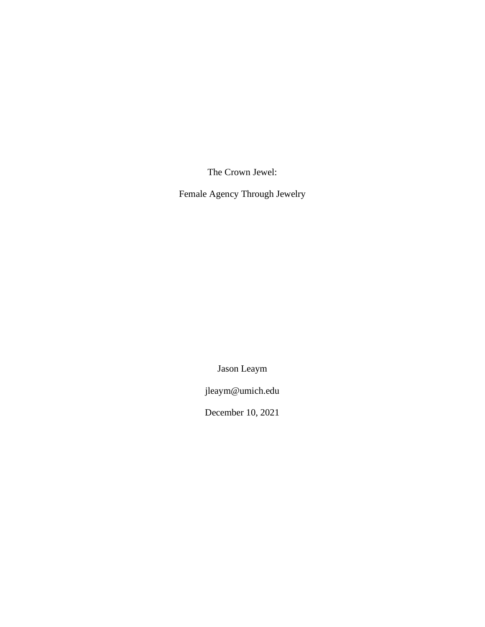The Crown Jewel:

Female Agency Through Jewelry

Jason Leaym

jleaym@umich.edu

December 10, 2021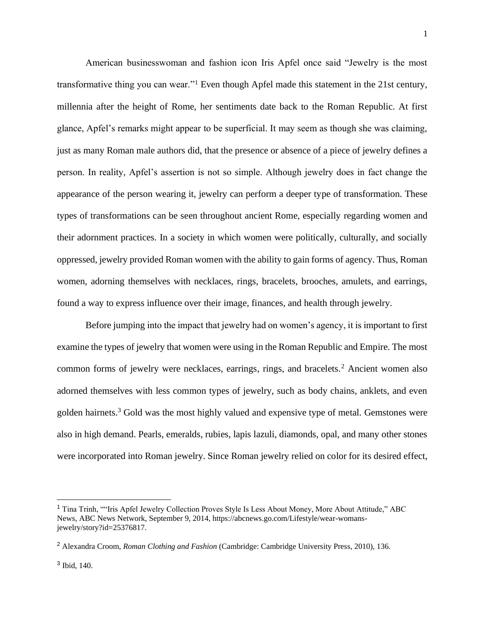American businesswoman and fashion icon Iris Apfel once said "Jewelry is the most transformative thing you can wear."<sup>1</sup> Even though Apfel made this statement in the 21st century, millennia after the height of Rome, her sentiments date back to the Roman Republic. At first glance, Apfel's remarks might appear to be superficial. It may seem as though she was claiming, just as many Roman male authors did, that the presence or absence of a piece of jewelry defines a person. In reality, Apfel's assertion is not so simple. Although jewelry does in fact change the appearance of the person wearing it, jewelry can perform a deeper type of transformation. These types of transformations can be seen throughout ancient Rome, especially regarding women and their adornment practices. In a society in which women were politically, culturally, and socially oppressed, jewelry provided Roman women with the ability to gain forms of agency. Thus, Roman women, adorning themselves with necklaces, rings, bracelets, brooches, amulets, and earrings, found a way to express influence over their image, finances, and health through jewelry.

Before jumping into the impact that jewelry had on women's agency, it is important to first examine the types of jewelry that women were using in the Roman Republic and Empire. The most common forms of jewelry were necklaces, earrings, rings, and bracelets.<sup>2</sup> Ancient women also adorned themselves with less common types of jewelry, such as body chains, anklets, and even golden hairnets.<sup>3</sup> Gold was the most highly valued and expensive type of metal. Gemstones were also in high demand. Pearls, emeralds, rubies, lapis lazuli, diamonds, opal, and many other stones were incorporated into Roman jewelry. Since Roman jewelry relied on color for its desired effect,

<sup>&</sup>lt;sup>1</sup> Tina Trinh, ""Iris Apfel Jewelry Collection Proves Style Is Less About Money, More About Attitude," ABC News, ABC News Network, September 9, 2014, https://abcnews.go.com/Lifestyle/wear-womansjewelry/story?id=25376817.

<sup>2</sup> Alexandra Croom, *Roman Clothing and Fashion* (Cambridge: Cambridge University Press, 2010), 136.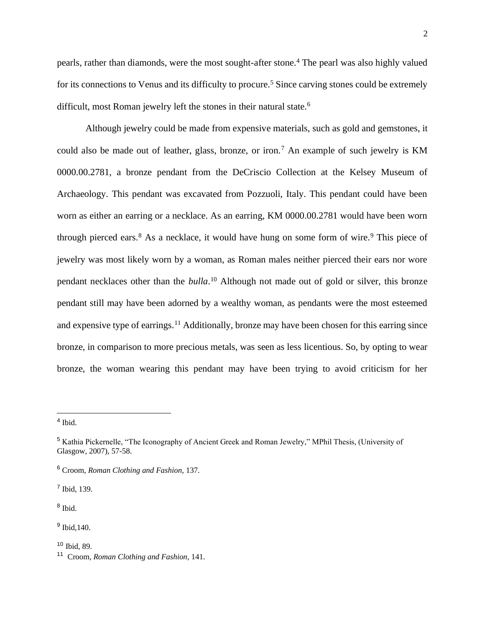pearls, rather than diamonds, were the most sought-after stone.<sup>4</sup> The pearl was also highly valued for its connections to Venus and its difficulty to procure.<sup>5</sup> Since carving stones could be extremely difficult, most Roman jewelry left the stones in their natural state.<sup>6</sup>

Although jewelry could be made from expensive materials, such as gold and gemstones, it could also be made out of leather, glass, bronze, or iron.<sup>7</sup> An example of such jewelry is KM 0000.00.2781, a bronze pendant from the DeCriscio Collection at the Kelsey Museum of Archaeology. This pendant was excavated from Pozzuoli, Italy. This pendant could have been worn as either an earring or a necklace. As an earring, KM 0000.00.2781 would have been worn through pierced ears.<sup>8</sup> As a necklace, it would have hung on some form of wire.<sup>9</sup> This piece of jewelry was most likely worn by a woman, as Roman males neither pierced their ears nor wore pendant necklaces other than the *bulla*. <sup>10</sup> Although not made out of gold or silver, this bronze pendant still may have been adorned by a wealthy woman, as pendants were the most esteemed and expensive type of earrings.<sup>11</sup> Additionally, bronze may have been chosen for this earring since bronze, in comparison to more precious metals, was seen as less licentious. So, by opting to wear bronze, the woman wearing this pendant may have been trying to avoid criticism for her

7 Ibid, 139.

8 Ibid.

<sup>9</sup> Ibid, 140.

 $10$  Ibid, 89.

<sup>4</sup> Ibid.

<sup>5</sup> Kathia Pickernelle, "The Iconography of Ancient Greek and Roman Jewelry," MPhil Thesis, (University of Glasgow, 2007), 57-58.

<sup>6</sup> Croom, *Roman Clothing and Fashion*, 137.

<sup>11</sup> Croom, *Roman Clothing and Fashion*, 141.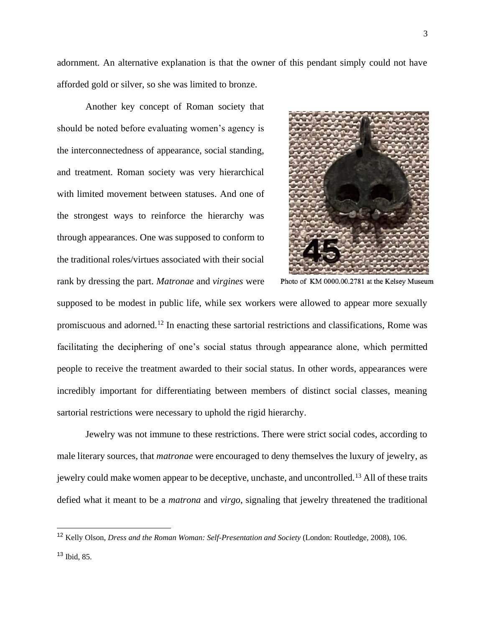adornment. An alternative explanation is that the owner of this pendant simply could not have afforded gold or silver, so she was limited to bronze.

Another key concept of Roman society that should be noted before evaluating women's agency is the interconnectedness of appearance, social standing, and treatment. Roman society was very hierarchical with limited movement between statuses. And one of the strongest ways to reinforce the hierarchy was through appearances. One was supposed to conform to the traditional roles/virtues associated with their social rank by dressing the part. *Matronae* and *virgines* were



Photo of KM 0000.00.2781 at the Kelsey Museum

supposed to be modest in public life, while sex workers were allowed to appear more sexually promiscuous and adorned.<sup>12</sup> In enacting these sartorial restrictions and classifications, Rome was facilitating the deciphering of one's social status through appearance alone, which permitted people to receive the treatment awarded to their social status. In other words, appearances were incredibly important for differentiating between members of distinct social classes, meaning sartorial restrictions were necessary to uphold the rigid hierarchy.

Jewelry was not immune to these restrictions. There were strict social codes, according to male literary sources, that *matronae* were encouraged to deny themselves the luxury of jewelry, as jewelry could make women appear to be deceptive, unchaste, and uncontrolled.<sup>13</sup> All of these traits defied what it meant to be a *matrona* and *virgo*, signaling that jewelry threatened the traditional

<sup>12</sup> Kelly Olson, *Dress and the Roman Woman: Self-Presentation and Society* (London: Routledge, 2008), 106.

 $13$  Ibid, 85.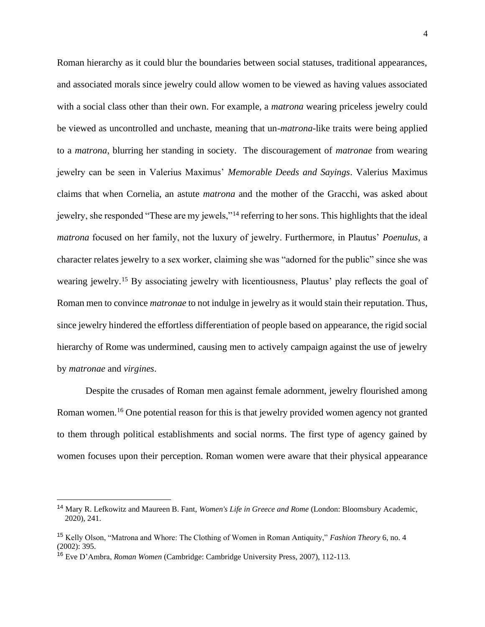Roman hierarchy as it could blur the boundaries between social statuses, traditional appearances, and associated morals since jewelry could allow women to be viewed as having values associated with a social class other than their own. For example, a *matrona* wearing priceless jewelry could be viewed as uncontrolled and unchaste, meaning that un-*matrona*-like traits were being applied to a *matrona*, blurring her standing in society. The discouragement of *matronae* from wearing jewelry can be seen in Valerius Maximus' *Memorable Deeds and Sayings*. Valerius Maximus claims that when Cornelia, an astute *matrona* and the mother of the Gracchi, was asked about jewelry, she responded "These are my jewels,"<sup>14</sup> referring to her sons. This highlights that the ideal *matrona* focused on her family, not the luxury of jewelry. Furthermore, in Plautus' *Poenulus*, a character relates jewelry to a sex worker, claiming she was "adorned for the public" since she was wearing jewelry.<sup>15</sup> By associating jewelry with licentiousness, Plautus' play reflects the goal of Roman men to convince *matronae* to not indulge in jewelry as it would stain their reputation. Thus, since jewelry hindered the effortless differentiation of people based on appearance, the rigid social hierarchy of Rome was undermined, causing men to actively campaign against the use of jewelry by *matronae* and *virgines*.

Despite the crusades of Roman men against female adornment, jewelry flourished among Roman women.<sup>16</sup> One potential reason for this is that jewelry provided women agency not granted to them through political establishments and social norms. The first type of agency gained by women focuses upon their perception. Roman women were aware that their physical appearance

<sup>14</sup> Mary R. Lefkowitz and Maureen B. Fant, *Women's Life in Greece and Rome* (London: Bloomsbury Academic, 2020), 241.

<sup>15</sup> Kelly Olson, "Matrona and Whore: The Clothing of Women in Roman Antiquity," *Fashion Theory* 6, no. 4 (2002): 395.

<sup>16</sup> Eve D'Ambra, *Roman Women* (Cambridge: Cambridge University Press, 2007), 112-113.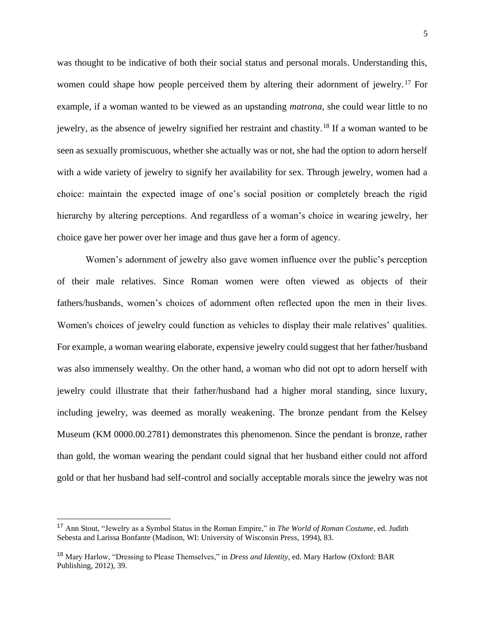was thought to be indicative of both their social status and personal morals. Understanding this, women could shape how people perceived them by altering their adornment of jewelry.<sup>17</sup> For example, if a woman wanted to be viewed as an upstanding *matrona*, she could wear little to no jewelry, as the absence of jewelry signified her restraint and chastity.<sup>18</sup> If a woman wanted to be seen as sexually promiscuous, whether she actually was or not, she had the option to adorn herself with a wide variety of jewelry to signify her availability for sex. Through jewelry, women had a choice: maintain the expected image of one's social position or completely breach the rigid hierarchy by altering perceptions. And regardless of a woman's choice in wearing jewelry, her choice gave her power over her image and thus gave her a form of agency.

Women's adornment of jewelry also gave women influence over the public's perception of their male relatives. Since Roman women were often viewed as objects of their fathers/husbands, women's choices of adornment often reflected upon the men in their lives. Women's choices of jewelry could function as vehicles to display their male relatives' qualities. For example, a woman wearing elaborate, expensive jewelry could suggest that her father/husband was also immensely wealthy. On the other hand, a woman who did not opt to adorn herself with jewelry could illustrate that their father/husband had a higher moral standing, since luxury, including jewelry, was deemed as morally weakening. The bronze pendant from the Kelsey Museum (KM 0000.00.2781) demonstrates this phenomenon. Since the pendant is bronze, rather than gold, the woman wearing the pendant could signal that her husband either could not afford gold or that her husband had self-control and socially acceptable morals since the jewelry was not

<sup>17</sup> Ann Stout, "Jewelry as a Symbol Status in the Roman Empire," in *The World of Roman Costume*, ed. Judith Sebesta and Larissa Bonfante (Madison, WI: University of Wisconsin Press, 1994), 83.

<sup>18</sup> Mary Harlow, "Dressing to Please Themselves," in *Dress and Identity*, ed. Mary Harlow (Oxford: BAR Publishing, 2012), 39.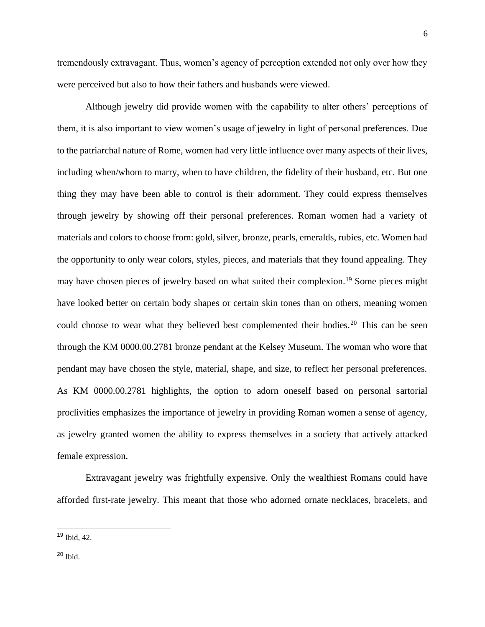tremendously extravagant. Thus, women's agency of perception extended not only over how they were perceived but also to how their fathers and husbands were viewed.

Although jewelry did provide women with the capability to alter others' perceptions of them, it is also important to view women's usage of jewelry in light of personal preferences. Due to the patriarchal nature of Rome, women had very little influence over many aspects of their lives, including when/whom to marry, when to have children, the fidelity of their husband, etc. But one thing they may have been able to control is their adornment. They could express themselves through jewelry by showing off their personal preferences. Roman women had a variety of materials and colors to choose from: gold, silver, bronze, pearls, emeralds, rubies, etc. Women had the opportunity to only wear colors, styles, pieces, and materials that they found appealing. They may have chosen pieces of jewelry based on what suited their complexion.<sup>19</sup> Some pieces might have looked better on certain body shapes or certain skin tones than on others, meaning women could choose to wear what they believed best complemented their bodies.<sup>20</sup> This can be seen through the KM 0000.00.2781 bronze pendant at the Kelsey Museum. The woman who wore that pendant may have chosen the style, material, shape, and size, to reflect her personal preferences. As KM 0000.00.2781 highlights, the option to adorn oneself based on personal sartorial proclivities emphasizes the importance of jewelry in providing Roman women a sense of agency, as jewelry granted women the ability to express themselves in a society that actively attacked female expression.

Extravagant jewelry was frightfully expensive. Only the wealthiest Romans could have afforded first-rate jewelry. This meant that those who adorned ornate necklaces, bracelets, and

<sup>19</sup> Ibid, 42.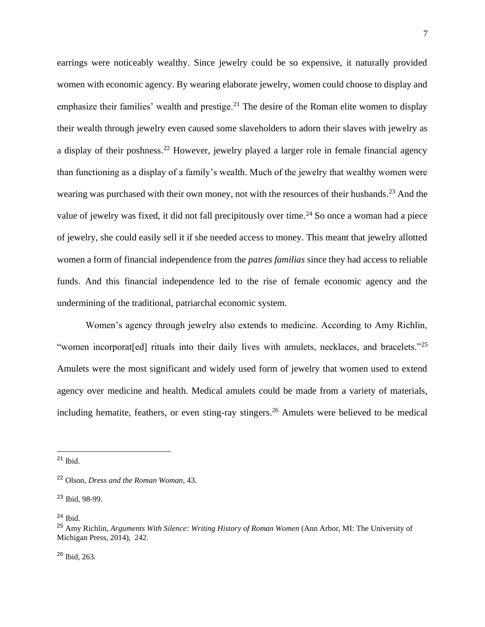earrings were noticeably wealthy. Since jewelry could be so expensive, it naturally provided women with economic agency. By wearing elaborate jewelry, women could choose to display and emphasize their families' wealth and prestige.<sup>21</sup> The desire of the Roman elite women to display their wealth through jewelry even caused some slaveholders to adorn their slaves with jewelry as a display of their poshness.<sup>22</sup> However, jewelry played a larger role in female financial agency than functioning as a display of a family's wealth. Much of the jewelry that wealthy women were wearing was purchased with their own money, not with the resources of their husbands.<sup>23</sup> And the value of jewelry was fixed, it did not fall precipitously over time.<sup>24</sup> So once a woman had a piece of jewelry, she could easily sell it if she needed access to money. This meant that jewelry allotted women a form of financial independence from the *patres familias* since they had access to reliable funds. And this financial independence led to the rise of female economic agency and the undermining of the traditional, patriarchal economic system.

Women's agency through jewelry also extends to medicine. According to Amy Richlin, "women incorporat[ed] rituals into their daily lives with amulets, necklaces, and bracelets."<sup>25</sup> Amulets were the most significant and widely used form of jewelry that women used to extend agency over medicine and health. Medical amulets could be made from a variety of materials, including hematite, feathers, or even sting-ray stingers.<sup>26</sup> Amulets were believed to be medical

<sup>24</sup> Ibid.

 $21$  Ibid.

<sup>22</sup> Olson, *Dress and the Roman Woman*, 43.

<sup>23</sup> Ibid, 98-99.

<sup>25</sup> Amy Richlin, *Arguments With Silence: Writing History of Roman Women* (Ann Arbor, MI: The University of Michigan Press, 2014), 242.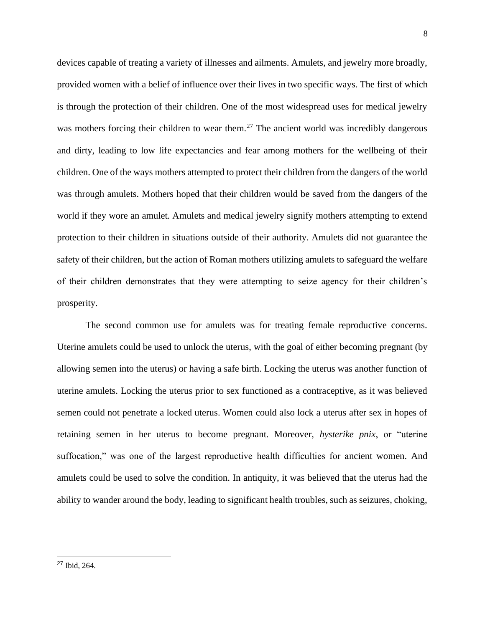devices capable of treating a variety of illnesses and ailments. Amulets, and jewelry more broadly, provided women with a belief of influence over their lives in two specific ways. The first of which is through the protection of their children. One of the most widespread uses for medical jewelry was mothers forcing their children to wear them.<sup>27</sup> The ancient world was incredibly dangerous and dirty, leading to low life expectancies and fear among mothers for the wellbeing of their children. One of the ways mothers attempted to protect their children from the dangers of the world was through amulets. Mothers hoped that their children would be saved from the dangers of the world if they wore an amulet. Amulets and medical jewelry signify mothers attempting to extend protection to their children in situations outside of their authority. Amulets did not guarantee the safety of their children, but the action of Roman mothers utilizing amulets to safeguard the welfare of their children demonstrates that they were attempting to seize agency for their children's prosperity.

The second common use for amulets was for treating female reproductive concerns. Uterine amulets could be used to unlock the uterus, with the goal of either becoming pregnant (by allowing semen into the uterus) or having a safe birth. Locking the uterus was another function of uterine amulets. Locking the uterus prior to sex functioned as a contraceptive, as it was believed semen could not penetrate a locked uterus. Women could also lock a uterus after sex in hopes of retaining semen in her uterus to become pregnant. Moreover, *hysterike pnix*, or "uterine suffocation," was one of the largest reproductive health difficulties for ancient women. And amulets could be used to solve the condition. In antiquity, it was believed that the uterus had the ability to wander around the body, leading to significant health troubles, such as seizures, choking,

<sup>27</sup> Ibid, 264.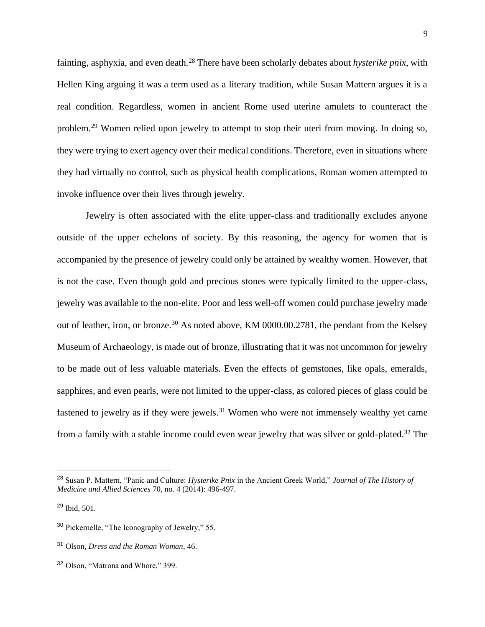fainting, asphyxia, and even death.<sup>28</sup> There have been scholarly debates about *hysterike pnix*, with Hellen King arguing it was a term used as a literary tradition, while Susan Mattern argues it is a real condition. Regardless, women in ancient Rome used uterine amulets to counteract the problem.<sup>29</sup> Women relied upon jewelry to attempt to stop their uteri from moving. In doing so, they were trying to exert agency over their medical conditions. Therefore, even in situations where they had virtually no control, such as physical health complications, Roman women attempted to invoke influence over their lives through jewelry.

Jewelry is often associated with the elite upper-class and traditionally excludes anyone outside of the upper echelons of society. By this reasoning, the agency for women that is accompanied by the presence of jewelry could only be attained by wealthy women. However, that is not the case. Even though gold and precious stones were typically limited to the upper-class, jewelry was available to the non-elite. Poor and less well-off women could purchase jewelry made out of leather, iron, or bronze.<sup>30</sup> As noted above, KM 0000.00.2781, the pendant from the Kelsey Museum of Archaeology, is made out of bronze, illustrating that it was not uncommon for jewelry to be made out of less valuable materials. Even the effects of gemstones, like opals, emeralds, sapphires, and even pearls, were not limited to the upper-class, as colored pieces of glass could be fastened to jewelry as if they were jewels.<sup>31</sup> Women who were not immensely wealthy yet came from a family with a stable income could even wear jewelry that was silver or gold-plated.<sup>32</sup> The

<sup>28</sup> Susan P. Mattern, "Panic and Culture: *Hysterike Pnix* in the Ancient Greek World," *Journal of The History of Medicine and Allied Sciences* 70, no. 4 (2014): 496-497.

<sup>29</sup> Ibid, 501.

<sup>30</sup> Pickernelle, "The Iconography of Jewelry," 55.

<sup>31</sup> Olson, *Dress and the Roman Woman*, 46.

<sup>32</sup> Olson, "Matrona and Whore," 399.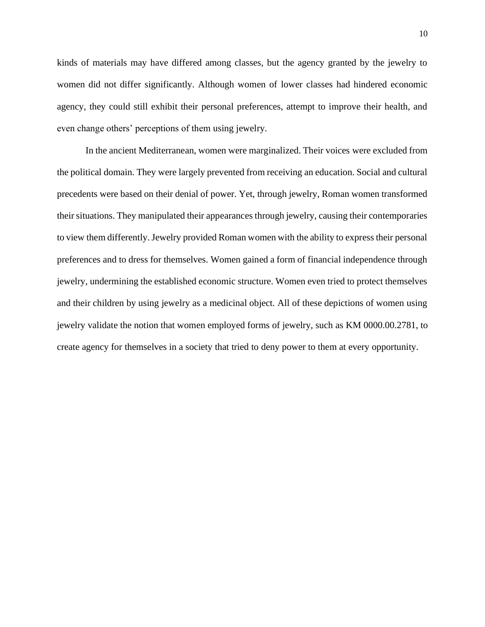kinds of materials may have differed among classes, but the agency granted by the jewelry to women did not differ significantly. Although women of lower classes had hindered economic agency, they could still exhibit their personal preferences, attempt to improve their health, and even change others' perceptions of them using jewelry.

In the ancient Mediterranean, women were marginalized. Their voices were excluded from the political domain. They were largely prevented from receiving an education. Social and cultural precedents were based on their denial of power. Yet, through jewelry, Roman women transformed their situations. They manipulated their appearances through jewelry, causing their contemporaries to view them differently. Jewelry provided Roman women with the ability to express their personal preferences and to dress for themselves. Women gained a form of financial independence through jewelry, undermining the established economic structure. Women even tried to protect themselves and their children by using jewelry as a medicinal object. All of these depictions of women using jewelry validate the notion that women employed forms of jewelry, such as KM 0000.00.2781, to create agency for themselves in a society that tried to deny power to them at every opportunity.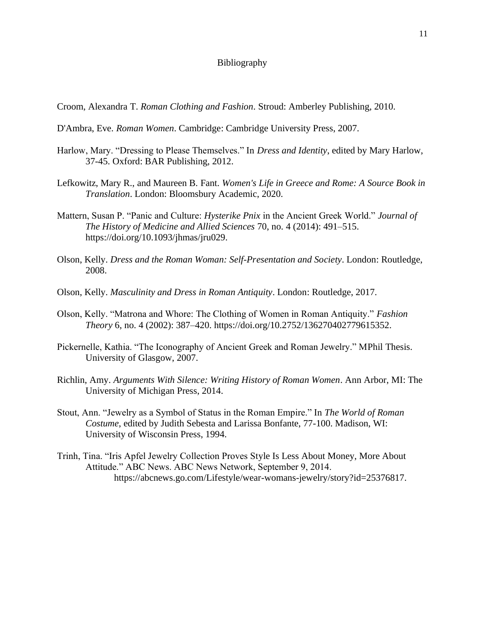## Bibliography

Croom, Alexandra T. *Roman Clothing and Fashion*. Stroud: Amberley Publishing, 2010.

- D'Ambra, Eve. *Roman Women*. Cambridge: Cambridge University Press, 2007.
- Harlow, Mary. "Dressing to Please Themselves." In *Dress and Identity*, edited by Mary Harlow, 37-45. Oxford: BAR Publishing, 2012.
- Lefkowitz, Mary R., and Maureen B. Fant. *Women's Life in Greece and Rome: A Source Book in Translation*. London: Bloomsbury Academic, 2020.
- Mattern, Susan P. "Panic and Culture: *Hysterike Pnix* in the Ancient Greek World." *Journal of The History of Medicine and Allied Sciences* 70, no. 4 (2014): 491–515. https://doi.org/10.1093/jhmas/jru029.
- Olson, Kelly. *Dress and the Roman Woman: Self-Presentation and Society*. London: Routledge, 2008.
- Olson, Kelly. *Masculinity and Dress in Roman Antiquity*. London: Routledge, 2017.
- Olson, Kelly. "Matrona and Whore: The Clothing of Women in Roman Antiquity." *Fashion Theory* 6, no. 4 (2002): 387–420. https://doi.org/10.2752/136270402779615352.
- Pickernelle, Kathia. "The Iconography of Ancient Greek and Roman Jewelry." MPhil Thesis. University of Glasgow, 2007.
- Richlin, Amy. *Arguments With Silence: Writing History of Roman Women*. Ann Arbor, MI: The University of Michigan Press, 2014.
- Stout, Ann. "Jewelry as a Symbol of Status in the Roman Empire." In *The World of Roman Costume*, edited by Judith Sebesta and Larissa Bonfante, 77-100. Madison, WI: University of Wisconsin Press, 1994.
- Trinh, Tina. "Iris Apfel Jewelry Collection Proves Style Is Less About Money, More About Attitude." ABC News. ABC News Network, September 9, 2014. https://abcnews.go.com/Lifestyle/wear-womans-jewelry/story?id=25376817.